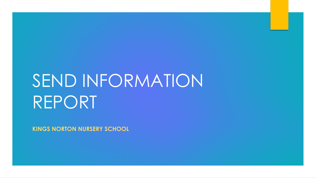# SEND INFORMATION REPORT

**KINGS NORTON NURSERY SCHOOL**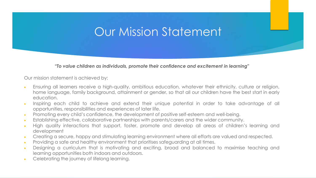### Our Mission Statement

*"To value children as individuals, promote their confidence and excitement in learning"*

Our mission statement is achieved by:

- Ensuring all learners receive a high-quality, ambitious education, whatever their ethnicity, culture or religion, home language, family background, attainment or gender, so that all our children have the best start in early education.
- Inspiring each child to achieve and extend their unique potential in order to take advantage of all opportunities, responsibilities and experiences of later life.
- Promoting every child's confidence, the development of positive self-esteem and well-being.
- Establishing effective, collaborative partnerships with parents/carers and the wider community.
- High quality interactions that support, foster, promote and develop all areas of children's learning and development
- Creating a secure, happy and stimulating learning environment where all efforts are valued and respected.
- Providing a safe and healthy environment that prioritises safeguarding at all times.
- Designing a curriculum that is motivating and exciting, broad and balanced to maximise teaching and learning opportunities both indoors and outdoors.
- Celebrating the journey of lifelong learning.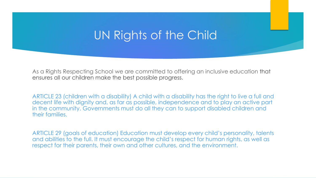### UN Rights of the Child

As a Rights Respecting School we are committed to offering an inclusive education that ensures all our children make the best possible progress.

ARTICLE 23 (children with a disability) A child with a disability has the right to live a full and decent life with dignity and, as far as possible, independence and to play an active part in the community. Governments must do all they can to support disabled children and their families.

ARTICLE 29 (goals of education) Education must develop every child's personality, talents and abilities to the full. It must encourage the child's respect for human rights, as well as respect for their parents, their own and other cultures, and the environment.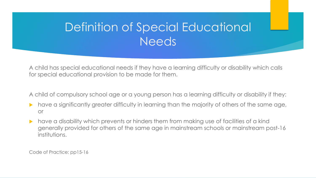### Definition of Special Educational Needs

A child has special educational needs if they have a learning difficulty or disability which calls for special educational provision to be made for them.

A child of compulsory school age or a young person has a learning difficulty or disability if they:

- have a significantly greater difficulty in learning than the majority of others of the same age, or
- have a disability which prevents or hinders them from making use of facilities of a kind generally provided for others of the same age in mainstream schools or mainstream post-16 institutions.

Code of Practice: pp15-16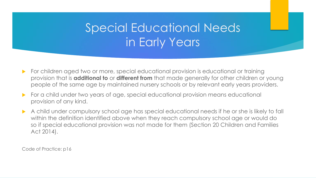## Special Educational Needs in Early Years

- For children aged two or more, special educational provision is educational or training provision that is **additional to** or **different from** that made generally for other children or young people of the same age by maintained nursery schools or by relevant early years providers.
- For a child under two years of age, special educational provision means educational provision of any kind.
- A child under compulsory school age has special educational needs if he or she is likely to fall within the definition identified above when they reach compulsory school age or would do so if special educational provision was not made for them (Section 20 Children and Families Act 2014).

Code of Practice: p16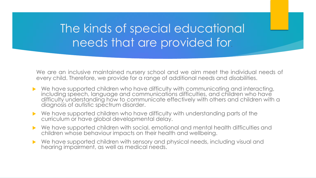### The kinds of special educational needs that are provided for.

We are an inclusive maintained nursery school and we aim meet the individual needs of every child. Therefore, we provide for a range of additional needs and disabilities.

- ▶ We have supported children who have difficulty with communicating and interacting, including speech, language and communications difficulties, and children who have difficulty understanding how to communicate effectively with others and children with a diagnosis of autistic spectrum disorder.
- We have supported children who have difficulty with understanding parts of the curriculum or have global developmental delay.
- We have supported children with social, emotional and mental health difficulties and children whose behaviour impacts on their health and wellbeing.
- We have supported children with sensory and physical needs, including visual and hearing impairment, as well as medical needs.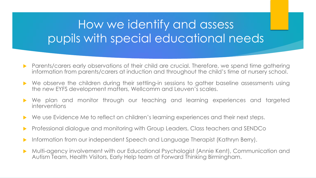## How we identify and assess pupils with special educational needs

- **Parents/carers early observations of their child are crucial. Therefore, we spend time gathering** information from parents/carers at induction and throughout the child's time at nursery school.
- ▶ We observe the children during their settling-in sessions to gather baseline assessments using the new EYFS development matters, Wellcomm and Leuven's scales.
- We plan and monitor through our teaching and learning experiences and targeted interventions
- ▶ We use Evidence Me to reflect on children's learning experiences and their next steps.
- **Professional dialogue and monitoring with Group Leaders, Class teachers and SENDCo**
- Information from our independent Speech and Language Therapist (Kathryn Berry).
- Multi-agency involvement with our Educational Psychologist (Annie Kent), Communication and Autism Team, Health Visitors, Early Help team at Forward Thinking Birmingham.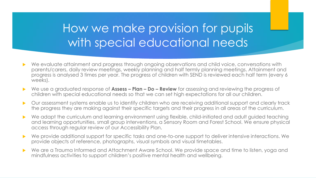### How we make provision for pupils with special educational needs

- We evaluate attainment and progress through ongoing observations and child voice, conversations with parents/carers, daily review meetings, weekly planning and half termly planning meetings. Attainment and progress is analysed 3 times per year. The progress of children with SEND is reviewed each half term (every 6 weeks).
- We use a graduated response of **Assess – Plan – Do – Review** for assessing and reviewing the progress of children with special educational needs so that we can set high expectations for all our children.
- Our assessment systems enable us to identify children who are receiving additional support and clearly track the progress they are making against their specific targets and their progress in all areas of the curriculum.
- We adapt the curriculum and learning environment using flexible, child-initiated and adult guided teaching and learning opportunities, small group interventions, a Sensory Room and Forest School. We ensure physical access through regular review of our Accessibility Plan.
- We provide additional support for specific tasks and one-to-one support to deliver intensive interactions. We provide objects of reference, photographs, visual symbols and visual timetables.
- We are a Trauma Informed and Attachment Aware School. We provide space and time to listen, yoga and mindfulness activities to support children's positive mental health and wellbeing.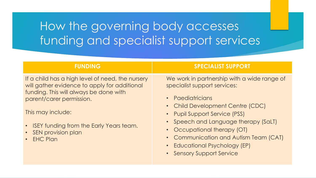## How the governing body accesses funding and specialist support services

If a child has a high level of need, the nursery will gather evidence to apply for additional funding. This will always be done with parent/carer permission.

This may include:

- ISEY funding from the Early Years team.
- SEN provision plan
- **EHC Plan**

### **FUNDING SPECIALIST SUPPORT**

We work in partnership with a wide range of specialist support services:

- Paediatricians
- Child Development Centre (CDC)
- Pupil Support Service (PSS)
- Speech and Language therapy (SaLT)
- Occupational therapy (OT)
- Communication and Autism Team (CAT)
- Educational Psychology (EP)
- Sensory Support Service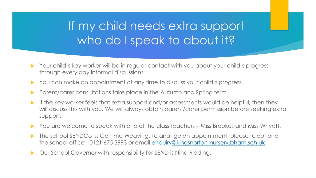### If my child needs extra support who do I speak to about it?

- Your child's key worker will be in regular contact with you about your child's progress through every day informal discussions.
- You can make an appointment at any time to discuss your child's progress.
- **Parent/carer consultations take place in the Autumn and Spring term.**
- If the key worker feels that extra support and/or assessments would be helpful, then they will discuss this with you. We will always obtain parent/carer permission before seeking extra support.
- ▶ You are welcome to speak with one of the class teachers Miss Brookes and Miss Whyatt.
- **The school SENDCo is: Gemma Weaving. To arrange an appointment, please telephone** the school office - 0121 675 3993 or email enquiry[@kingsnorton-nursery.bham.sch.uk](about:blank)
- ▶ Our School Governor with responsibility for SEND is Nina Ridding.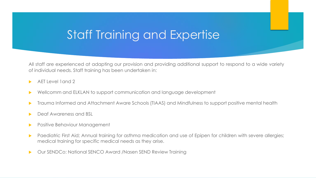### Staff Training and Expertise

All staff are experienced at adapting our provision and providing additional support to respond to a wide variety of individual needs. Staff training has been undertaken in:

- AET Level 1and 2
- Wellcomm and ELKLAN to support communication and language development
- Trauma Informed and Attachment Aware Schools (TIAAS) and Mindfulness to support positive mental health
- Deaf Awareness and BSL
- Positive Behaviour Management
- Paediatric First Aid; Annual training for asthma medication and use of Epipen for children with severe allergies; medical training for specific medical needs as they arise.
- Our SENDCo: National SENCO Award /Nasen SEND Review Training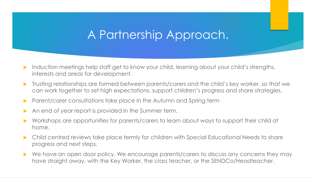### A Partnership Approach.

- Induction meetings help staff get to know your child, learning about your child's strengths, interests and areas for development.
- **Trusting relationships are formed between parents/carers and the child's key worker, so that we** can work together to set high expectations, support children's progress and share strategies.
- **Parent/carer consultations take place in the Autumn and Spring term**
- An end of year report is provided in the Summer term.
- Workshops are opportunities for parents/carers to learn about ways to support their child at home.
- Child centred reviews take place termly for children with Special Educational Needs to share progress and next steps.
- ▶ We have an open door policy. We encourage parents/carers to discuss any concerns they may have straight away, with the Key Worker, the class teacher, or the SENDCo/Headteacher.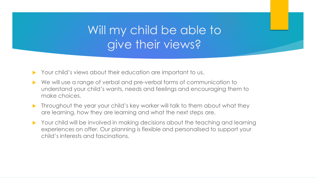### Will my child be able to give their views?

- Your child's views about their education are important to us.
- We will use a range of verbal and pre-verbal forms of communication to understand your child's wants, needs and feelings and encouraging them to make choices.
- **Throughout the year your child's key worker will talk to them about what they** are learning, how they are learning and what the next steps are.
- Your child will be involved in making decisions about the teaching and learning experiences on offer. Our planning is flexible and personalised to support your child's interests and fascinations.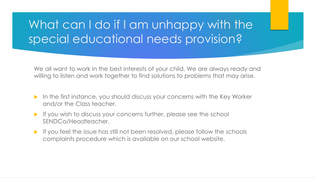## What can I do if I am unhappy with the special educational needs provision?

We all want to work in the best interests of your child. We are always ready and willing to listen and work together to find solutions to problems that may arise.

- In the first instance, you should discuss your concerns with the Key Worker and/or the Class teacher.
- If you wish to discuss your concerns further, please see the school SENDCo/Headteacher.
- If you feel the issue has still not been resolved, please follow the schools complaints procedure which is available on our school website.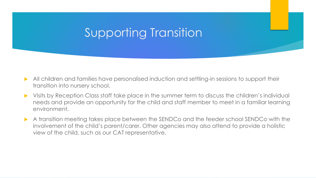### Supporting Transition

- All children and families have personalised induction and settling-in sessions to support their transition into nursery school.
- Visits by Reception Class staff take place in the summer term to discuss the children's individual needs and provide an opportunity for the child and staff member to meet in a familiar learning environment.
- A transition meeting takes place between the SENDCo and the feeder school SENDCo with the involvement of the child's parent/carer. Other agencies may also attend to provide a holistic view of the child, such as our CAT representative.